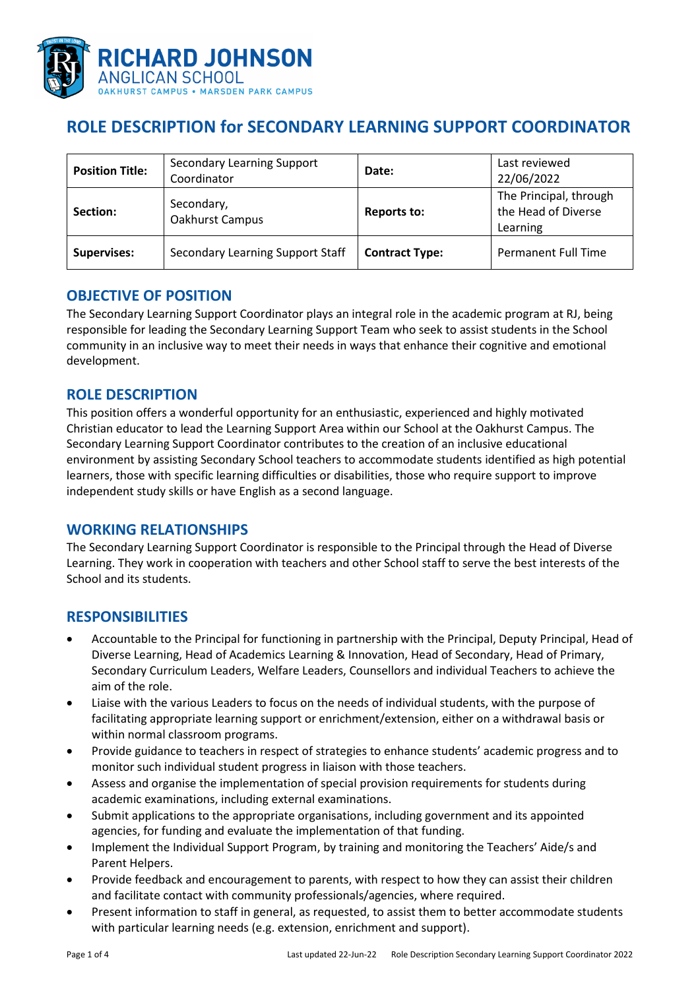

# **ROLE DESCRIPTION for SECONDARY LEARNING SUPPORT COORDINATOR**

| <b>Position Title:</b> | <b>Secondary Learning Support</b><br>Coordinator | Date:                 | Last reviewed<br>22/06/2022                               |
|------------------------|--------------------------------------------------|-----------------------|-----------------------------------------------------------|
| Section:               | Secondary,<br>Oakhurst Campus                    | <b>Reports to:</b>    | The Principal, through<br>the Head of Diverse<br>Learning |
| <b>Supervises:</b>     | Secondary Learning Support Staff                 | <b>Contract Type:</b> | Permanent Full Time                                       |

### **OBJECTIVE OF POSITION**

The Secondary Learning Support Coordinator plays an integral role in the academic program at RJ, being responsible for leading the Secondary Learning Support Team who seek to assist students in the School community in an inclusive way to meet their needs in ways that enhance their cognitive and emotional development.

# **ROLE DESCRIPTION**

This position offers a wonderful opportunity for an enthusiastic, experienced and highly motivated Christian educator to lead the Learning Support Area within our School at the Oakhurst Campus. The Secondary Learning Support Coordinator contributes to the creation of an inclusive educational environment by assisting Secondary School teachers to accommodate students identified as high potential learners, those with specific learning difficulties or disabilities, those who require support to improve independent study skills or have English as a second language.

### **WORKING RELATIONSHIPS**

The Secondary Learning Support Coordinator is responsible to the Principal through the Head of Diverse Learning. They work in cooperation with teachers and other School staff to serve the best interests of the School and its students.

### **RESPONSIBILITIES**

- Accountable to the Principal for functioning in partnership with the Principal, Deputy Principal, Head of Diverse Learning, Head of Academics Learning & Innovation, Head of Secondary, Head of Primary, Secondary Curriculum Leaders, Welfare Leaders, Counsellors and individual Teachers to achieve the aim of the role.
- Liaise with the various Leaders to focus on the needs of individual students, with the purpose of facilitating appropriate learning support or enrichment/extension, either on a withdrawal basis or within normal classroom programs.
- Provide guidance to teachers in respect of strategies to enhance students' academic progress and to monitor such individual student progress in liaison with those teachers.
- Assess and organise the implementation of special provision requirements for students during academic examinations, including external examinations.
- Submit applications to the appropriate organisations, including government and its appointed agencies, for funding and evaluate the implementation of that funding.
- Implement the Individual Support Program, by training and monitoring the Teachers' Aide/s and Parent Helpers.
- Provide feedback and encouragement to parents, with respect to how they can assist their children and facilitate contact with community professionals/agencies, where required.
- Present information to staff in general, as requested, to assist them to better accommodate students with particular learning needs (e.g. extension, enrichment and support).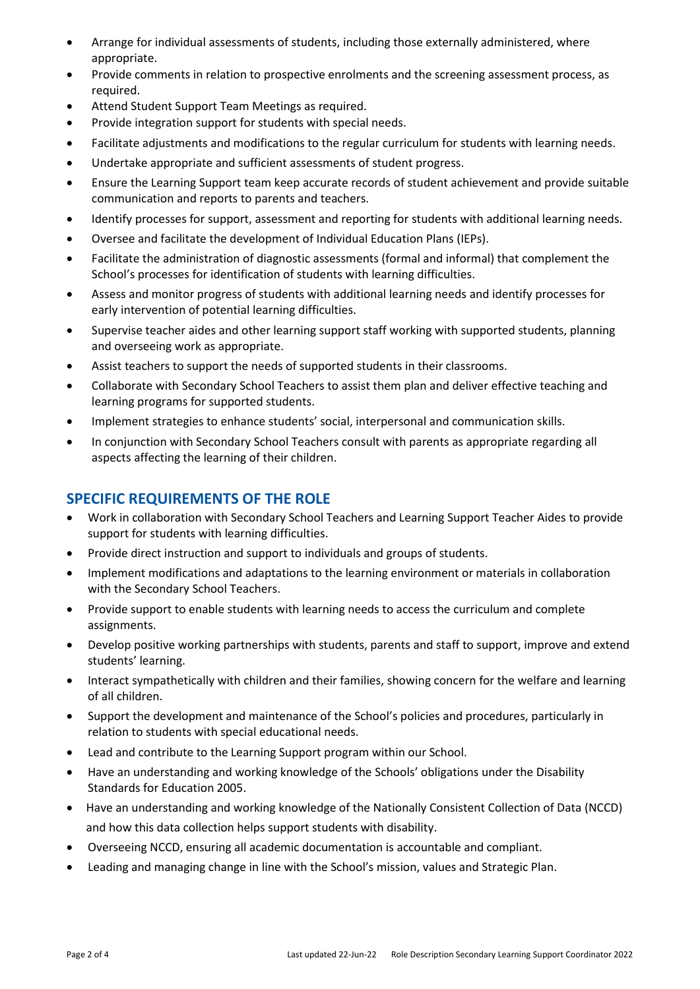- Arrange for individual assessments of students, including those externally administered, where appropriate.
- Provide comments in relation to prospective enrolments and the screening assessment process, as required.
- Attend Student Support Team Meetings as required.
- Provide integration support for students with special needs.
- Facilitate adjustments and modifications to the regular curriculum for students with learning needs.
- Undertake appropriate and sufficient assessments of student progress.
- Ensure the Learning Support team keep accurate records of student achievement and provide suitable communication and reports to parents and teachers.
- Identify processes for support, assessment and reporting for students with additional learning needs.
- Oversee and facilitate the development of Individual Education Plans (IEPs).
- Facilitate the administration of diagnostic assessments (formal and informal) that complement the School's processes for identification of students with learning difficulties.
- Assess and monitor progress of students with additional learning needs and identify processes for early intervention of potential learning difficulties.
- Supervise teacher aides and other learning support staff working with supported students, planning and overseeing work as appropriate.
- Assist teachers to support the needs of supported students in their classrooms.
- Collaborate with Secondary School Teachers to assist them plan and deliver effective teaching and learning programs for supported students.
- Implement strategies to enhance students' social, interpersonal and communication skills.
- In conjunction with Secondary School Teachers consult with parents as appropriate regarding all aspects affecting the learning of their children.

## **SPECIFIC REQUIREMENTS OF THE ROLE**

- Work in collaboration with Secondary School Teachers and Learning Support Teacher Aides to provide support for students with learning difficulties.
- Provide direct instruction and support to individuals and groups of students.
- Implement modifications and adaptations to the learning environment or materials in collaboration with the Secondary School Teachers.
- Provide support to enable students with learning needs to access the curriculum and complete assignments.
- Develop positive working partnerships with students, parents and staff to support, improve and extend students' learning.
- Interact sympathetically with children and their families, showing concern for the welfare and learning of all children.
- Support the development and maintenance of the School's policies and procedures, particularly in relation to students with special educational needs.
- Lead and contribute to the Learning Support program within our School.
- Have an understanding and working knowledge of the Schools' obligations under the Disability Standards for Education 2005.
- Have an understanding and working knowledge of the Nationally Consistent Collection of Data (NCCD) and how this data collection helps support students with disability.
- Overseeing NCCD, ensuring all academic documentation is accountable and compliant.
- Leading and managing change in line with the School's mission, values and Strategic Plan.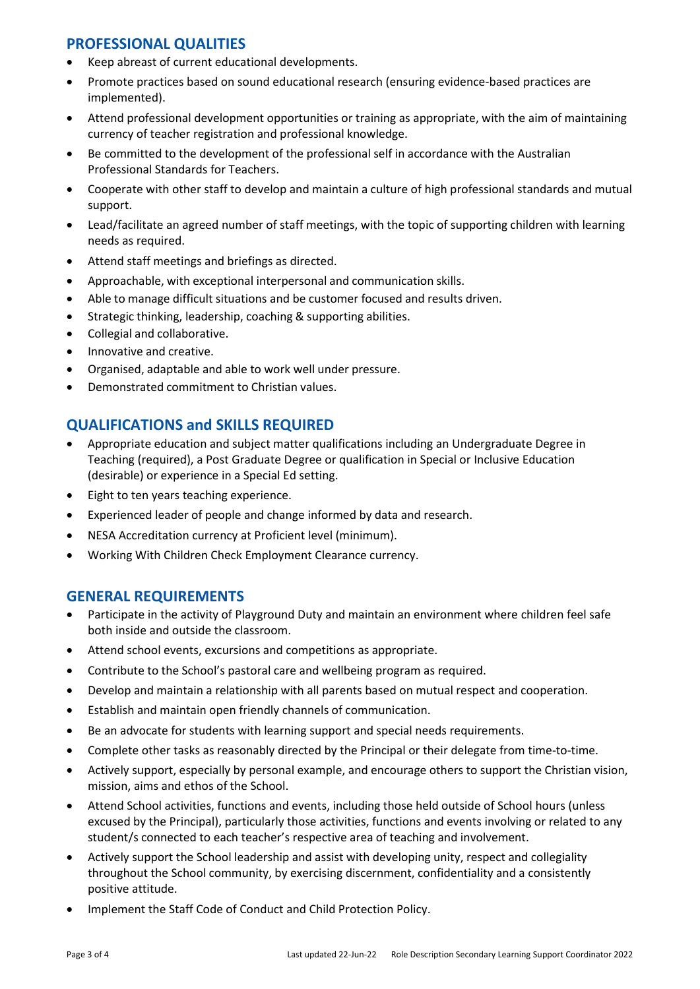# **PROFESSIONAL QUALITIES**

- Keep abreast of current educational developments.
- Promote practices based on sound educational research (ensuring evidence-based practices are implemented).
- Attend professional development opportunities or training as appropriate, with the aim of maintaining currency of teacher registration and professional knowledge.
- Be committed to the development of the professional self in accordance with the Australian Professional Standards for Teachers.
- Cooperate with other staff to develop and maintain a culture of high professional standards and mutual support.
- Lead/facilitate an agreed number of staff meetings, with the topic of supporting children with learning needs as required.
- Attend staff meetings and briefings as directed.
- Approachable, with exceptional interpersonal and communication skills.
- Able to manage difficult situations and be customer focused and results driven.
- Strategic thinking, leadership, coaching & supporting abilities.
- Collegial and collaborative.
- Innovative and creative.
- Organised, adaptable and able to work well under pressure.
- Demonstrated commitment to Christian values.

# **QUALIFICATIONS and SKILLS REQUIRED**

- Appropriate education and subject matter qualifications including an Undergraduate Degree in Teaching (required), a Post Graduate Degree or qualification in Special or Inclusive Education (desirable) or experience in a Special Ed setting.
- Eight to ten years teaching experience.
- Experienced leader of people and change informed by data and research.
- NESA Accreditation currency at Proficient level (minimum).
- Working With Children Check Employment Clearance currency.

#### **GENERAL REQUIREMENTS**

- Participate in the activity of Playground Duty and maintain an environment where children feel safe both inside and outside the classroom.
- Attend school events, excursions and competitions as appropriate.
- Contribute to the School's pastoral care and wellbeing program as required.
- Develop and maintain a relationship with all parents based on mutual respect and cooperation.
- Establish and maintain open friendly channels of communication.
- Be an advocate for students with learning support and special needs requirements.
- Complete other tasks as reasonably directed by the Principal or their delegate from time-to-time.
- Actively support, especially by personal example, and encourage others to support the Christian vision, mission, aims and ethos of the School.
- Attend School activities, functions and events, including those held outside of School hours (unless excused by the Principal), particularly those activities, functions and events involving or related to any student/s connected to each teacher's respective area of teaching and involvement.
- Actively support the School leadership and assist with developing unity, respect and collegiality throughout the School community, by exercising discernment, confidentiality and a consistently positive attitude.
- Implement the Staff Code of Conduct and Child Protection Policy.